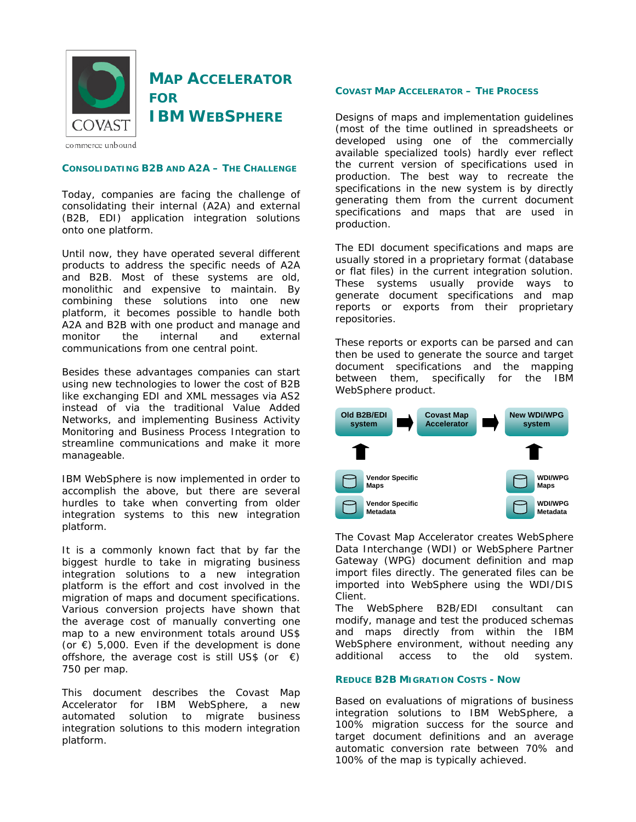

# **MAP ACCELERATOR FOR IBM WEBSPHERE**

commerce unbound

# **CONSOLIDATING B2B AND A2A – THE CHALLENGE**

Today, companies are facing the challenge of consolidating their internal (A2A) and external (B2B, EDI) application integration solutions onto one platform.

Until now, they have operated several different products to address the specific needs of A2A and B2B. Most of these systems are old, monolithic and expensive to maintain. By combining these solutions into one new platform, it becomes possible to handle both A2A and B2B with one product and manage and monitor the internal and external communications from one central point.

Besides these advantages companies can start using new technologies to lower the cost of B2B like exchanging EDI and XML messages via AS2 instead of via the traditional Value Added Networks, and implementing Business Activity Monitoring and Business Process Integration to streamline communications and make it more manageable.

IBM WebSphere is now implemented in order to accomplish the above, but there are several hurdles to take when converting from older integration systems to this new integration platform.

It is a commonly known fact that by far the biggest hurdle to take in migrating business integration solutions to a new integration platform is the effort and cost involved in the migration of maps and document specifications. Various conversion projects have shown that the average cost of manually converting one map to a new environment totals around US\$ (or  $\epsilon$ ) 5,000. Even if the development is done offshore, the average cost is still US\$ (or  $\epsilon$ ) 750 per map.

This document describes the Covast Map Accelerator for IBM WebSphere, a new automated solution to migrate business integration solutions to this modern integration platform.

# **COVAST MAP ACCELERATOR – THE PROCESS**

Designs of maps and implementation guidelines (most of the time outlined in spreadsheets or developed using one of the commercially available specialized tools) hardly ever reflect the current version of specifications used in production. The best way to recreate the specifications in the new system is by directly generating them from the current document specifications and maps that are used in production.

The EDI document specifications and maps are usually stored in a proprietary format (database or flat files) in the current integration solution. These systems usually provide ways to generate document specifications and map reports or exports from their proprietary repositories.

These reports or exports can be parsed and can then be used to generate the source and target document specifications and the mapping between them, specifically for the IBM WebSphere product.



The Covast Map Accelerator creates WebSphere Data Interchange (WDI) or WebSphere Partner Gateway (WPG) document definition and map import files directly. The generated files can be imported into WebSphere using the WDI/DIS Client.

The WebSphere B2B/EDI consultant can modify, manage and test the produced schemas and maps directly from within the IBM WebSphere environment, without needing any additional access to the old system.

# **REDUCE B2B MIGRATION COSTS - NOW**

Based on evaluations of migrations of business integration solutions to IBM WebSphere, a 100% migration success for the source and target document definitions and an average automatic conversion rate between 70% and 100% of the map is typically achieved.